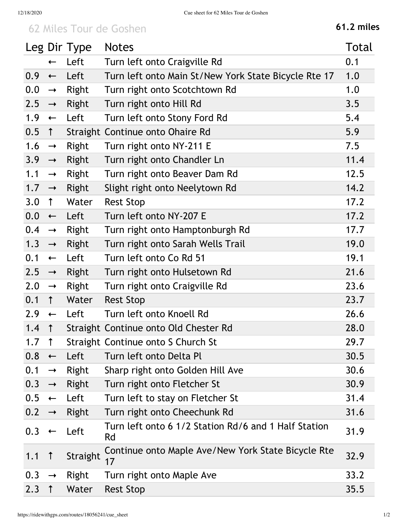## 62 Miles Tour de Goshen **61.2 miles**

|     |                   | Leg Dir Type | <b>Notes</b>                                               | Total |
|-----|-------------------|--------------|------------------------------------------------------------|-------|
|     | $\leftarrow$      | Left         | Turn left onto Craigville Rd                               | 0.1   |
| 0.9 | $\leftarrow$      | Left         | Turn left onto Main St/New York State Bicycle Rte 17       | 1.0   |
| 0.0 | $\rightarrow$     | Right        | Turn right onto Scotchtown Rd                              | 1.0   |
| 2.5 | $\rightarrow$     | Right        | Turn right onto Hill Rd                                    | 3.5   |
| 1.9 | $\leftarrow$      | Left         | Turn left onto Stony Ford Rd                               | 5.4   |
| 0.5 | $\uparrow$        |              | Straight Continue onto Ohaire Rd                           | 5.9   |
| 1.6 | $\rightarrow$     | Right        | Turn right onto NY-211 E                                   | 7.5   |
| 3.9 | $\rightarrow$     | Right        | Turn right onto Chandler Ln                                | 11.4  |
| 1.1 | $\rightarrow$     | Right        | Turn right onto Beaver Dam Rd                              | 12.5  |
| 1.7 | $\longrightarrow$ | Right        | Slight right onto Neelytown Rd                             | 14.2  |
| 3.0 | $\uparrow$        | Water        | <b>Rest Stop</b>                                           | 17.2  |
| 0.0 | $\leftarrow$      | Left         | Turn left onto NY-207 E                                    | 17.2  |
| 0.4 | $\rightarrow$     | Right        | Turn right onto Hamptonburgh Rd                            | 17.7  |
| 1.3 | $\rightarrow$     | Right        | Turn right onto Sarah Wells Trail                          | 19.0  |
| 0.1 | $\leftarrow$      | Left         | Turn left onto Co Rd 51                                    | 19.1  |
| 2.5 | $\longrightarrow$ | Right        | Turn right onto Hulsetown Rd                               | 21.6  |
| 2.0 | $\rightarrow$     | Right        | Turn right onto Craigville Rd                              | 23.6  |
| 0.1 | $\uparrow$        | Water        | <b>Rest Stop</b>                                           | 23.7  |
| 2.9 | $\leftarrow$      | Left         | Turn left onto Knoell Rd                                   | 26.6  |
| 1.4 | $\uparrow$        |              | Straight Continue onto Old Chester Rd                      | 28.0  |
| 1.7 | $\bigcap$         |              | Straight Continue onto S Church St                         | 29.7  |
| 0.8 | $\leftarrow$      | Left         | Turn left onto Delta Pl                                    | 30.5  |
| 0.1 | $\rightarrow$     | Right        | Sharp right onto Golden Hill Ave                           | 30.6  |
| 0.3 | $\rightarrow$     | Right        | Turn right onto Fletcher St                                | 30.9  |
| 0.5 | $\leftarrow$      | Left         | Turn left to stay on Fletcher St                           | 31.4  |
| 0.2 | $\rightarrow$     | Right        | Turn right onto Cheechunk Rd                               | 31.6  |
| 0.3 | $\leftarrow$      | Left         | Turn left onto 6 1/2 Station Rd/6 and 1 Half Station<br>Rd | 31.9  |
| 1.1 | $\uparrow$        | Straight     | Continue onto Maple Ave/New York State Bicycle Rte<br>17   | 32.9  |
| 0.3 | $\rightarrow$     | Right        | Turn right onto Maple Ave                                  | 33.2  |
| 2.3 | $\uparrow$        | Water        | <b>Rest Stop</b>                                           | 35.5  |